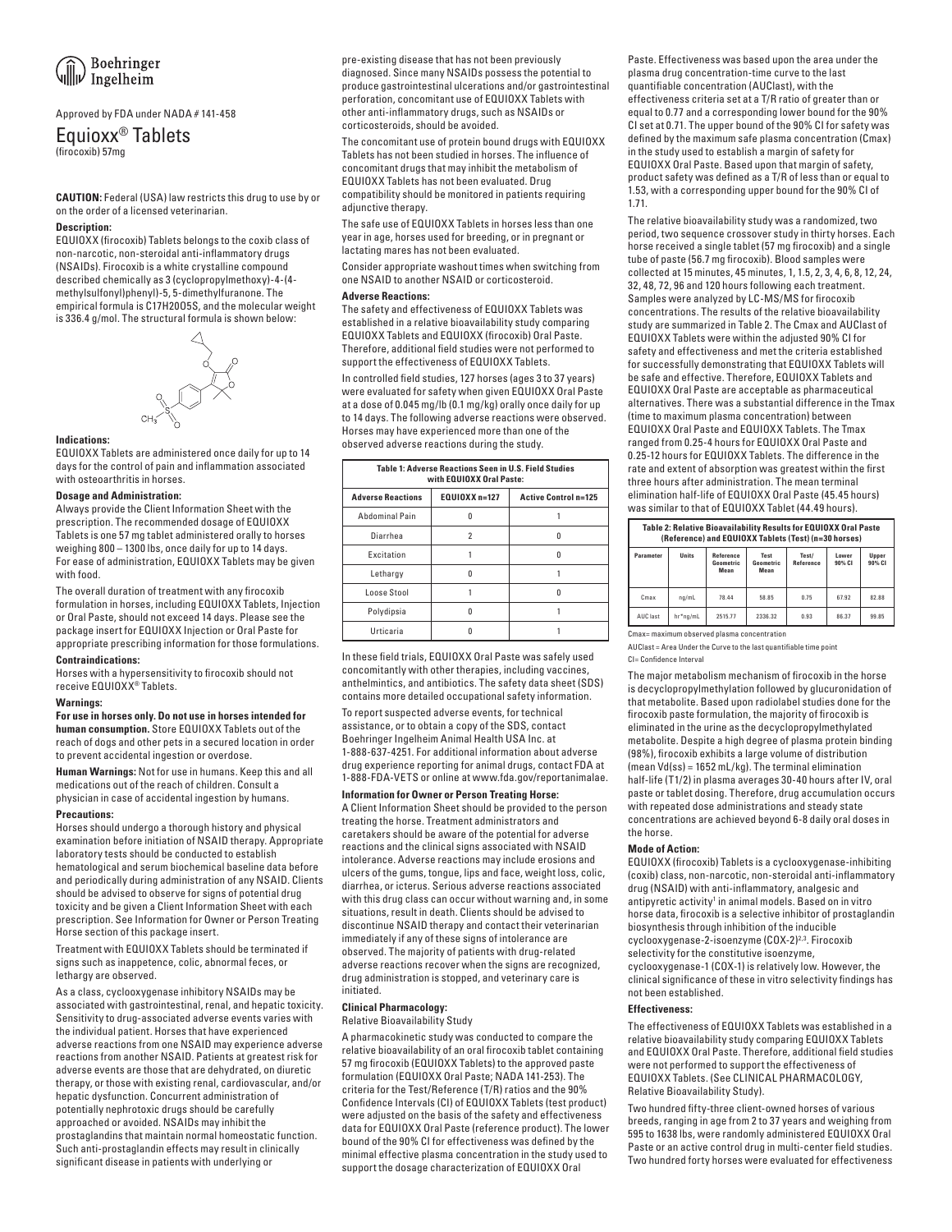# Approved by FDA under NADA # 141-458

# Equioxx<sup>®</sup> Tablets

**CAUTION:** Federal (USA) law restricts this drug to use by or on the order of a licensed veterinarian.

## **Description:**

EQUIOXX (firocoxib) Tablets belongs to the coxib class of non-narcotic, non-steroidal anti-inflammatory drugs (NSAIDs). Firocoxib is a white crystalline compound described chemically as 3 (cyclopropylmethoxy)-4-(4 methylsulfonyl)phenyl)-5, 5-dimethylfuranone. The empirical formula is C17H20O5S, and the molecular weight is 336.4 g/mol. The structural formula is shown below:



### **Indications:**

EQUIOXX Tablets are administered once daily for up to 14 days for the control of pain and inflammation associated with osteoarthritis in horses.

## **Dosage and Administration:**

Always provide the Client Information Sheet with the prescription. The recommended dosage of EQUIOXX Tablets is one 57 mg tablet administered orally to horses weighing 800 – 1300 lbs, once daily for up to 14 days. For ease of administration, EQUIOXX Tablets may be given with food.

The overall duration of treatment with any firocoxib formulation in horses, including EQUIOXX Tablets, Injection or Oral Paste, should not exceed 14 days. Please see the package insert for EQUIOXX Injection or Oral Paste for appropriate prescribing information for those formulations.

## **Contraindications:**

Horses with a hypersensitivity to firocoxib should not receive EQUIOXX® Tablets.

# **Warnings:**

**For use in horses only. Do not use in horses intended for human consumption.** Store EQUIOXX Tablets out of the reach of dogs and other pets in a secured location in order to prevent accidental ingestion or overdose.

**Human Warnings:** Not for use in humans. Keep this and all medications out of the reach of children. Consult a physician in case of accidental ingestion by humans.

### **Precautions:**

Horses should undergo a thorough history and physical examination before initiation of NSAID therapy. Appropriate laboratory tests should be conducted to establish hematological and serum biochemical baseline data before and periodically during administration of any NSAID. Clients should be advised to observe for signs of potential drug toxicity and be given a Client Information Sheet with each prescription. See Information for Owner or Person Treating Horse section of this package insert.

Treatment with EQUIOXX Tablets should be terminated if signs such as inappetence, colic, abnormal feces, or lethargy are observed.

As a class, cyclooxygenase inhibitory NSAIDs may be associated with gastrointestinal, renal, and hepatic toxicity. Sensitivity to drug-associated adverse events varies with the individual patient. Horses that have experienced adverse reactions from one NSAID may experience adverse reactions from another NSAID. Patients at greatest risk for adverse events are those that are dehydrated, on diuretic therapy, or those with existing renal, cardiovascular, and/or hepatic dysfunction. Concurrent administration of potentially nephrotoxic drugs should be carefully approached or avoided. NSAIDs may inhibit the prostaglandins that maintain normal homeostatic function. Such anti-prostaglandin effects may result in clinically significant disease in patients with underlying or

pre-existing disease that has not been previously diagnosed. Since many NSAIDs possess the potential to produce gastrointestinal ulcerations and/or gastrointestinal perforation, concomitant use of EQUIOXX Tablets with other anti-inflammatory drugs, such as NSAIDs or corticosteroids, should be avoided.

The concomitant use of protein bound drugs with EQUIOXX Tablets has not been studied in horses. The influence of concomitant drugs that may inhibit the metabolism of EQUIOXX Tablets has not been evaluated. Drug compatibility should be monitored in patients requiring adjunctive therapy.

The safe use of EQUIOXX Tablets in horses less than one year in age, horses used for breeding, or in pregnant or lactating mares has not been evaluated.

Consider appropriate washout times when switching from one NSAID to another NSAID or corticosteroid.

# **Adverse Reactions:**

The safety and effectiveness of EQUIOXX Tablets was established in a relative bioavailability study comparing EQUIOXX Tablets and EQUIOXX (firocoxib) Oral Paste. Therefore, additional field studies were not performed to support the effectiveness of EQUIOXX Tablets.

In controlled field studies, 127 horses (ages 3 to 37 years) were evaluated for safety when given EQUIOXX Oral Paste at a dose of 0.045 mg/lb (0.1 mg/kg) orally once daily for up to 14 days. The following adverse reactions were observed. Horses may have experienced more than one of the observed adverse reactions during the study.

| Table 1: Adverse Reactions Seen in U.S. Field Studies<br>with EQUIOXX Oral Paste: |                                              |   |  |  |  |  |  |  |
|-----------------------------------------------------------------------------------|----------------------------------------------|---|--|--|--|--|--|--|
| <b>Adverse Reactions</b>                                                          | EQUIOXX n=127<br><b>Active Control n=125</b> |   |  |  |  |  |  |  |
| Abdominal Pain                                                                    |                                              |   |  |  |  |  |  |  |
| Diarrhea                                                                          | 2                                            | n |  |  |  |  |  |  |
| Excitation                                                                        |                                              |   |  |  |  |  |  |  |
| Lethargy                                                                          |                                              |   |  |  |  |  |  |  |
| Loose Stool                                                                       |                                              |   |  |  |  |  |  |  |
| Polydipsia                                                                        |                                              |   |  |  |  |  |  |  |
| Urticaria                                                                         |                                              |   |  |  |  |  |  |  |

In these field trials, EQUIOXX Oral Paste was safely used concomitantly with other therapies, including vaccines, anthelmintics, and antibiotics. The safety data sheet (SDS) contains more detailed occupational safety information. To report suspected adverse events, for technical assistance, or to obtain a copy of the SDS, contact Boehringer Ingelheim Animal Health USA Inc. at 1-888-637-4251. For additional information about adverse drug experience reporting for animal drugs, contact FDA at 1-888-FDA-VETS or online at www.fda.gov/reportanimalae.

**Information for Owner or Person Treating Horse:** A Client Information Sheet should be provided to the person treating the horse. Treatment administrators and caretakers should be aware of the potential for adverse reactions and the clinical signs associated with NSAID intolerance. Adverse reactions may include erosions and ulcers of the gums, tongue, lips and face, weight loss, colic, diarrhea, or icterus. Serious adverse reactions associated with this drug class can occur without warning and, in some situations, result in death. Clients should be advised to discontinue NSAID therapy and contact their veterinarian immediately if any of these signs of intolerance are observed. The majority of patients with drug-related adverse reactions recover when the signs are recognized, drug administration is stopped, and veterinary care is initiated.

# **Clinical Pharmacology:**

## Relative Bioavailability Study

A pharmacokinetic study was conducted to compare the relative bioavailability of an oral firocoxib tablet containing 57 mg firocoxib (EQUIOXX Tablets) to the approved paste formulation (EQUIOXX Oral Paste; NADA 141-253). The criteria for the Test/Reference (T/R) ratios and the 90% Confidence Intervals (CI) of EQUIOXX Tablets (test product) were adjusted on the basis of the safety and effectiveness data for EQUIOXX Oral Paste (reference product). The lower bound of the 90% CI for effectiveness was defined by the minimal effective plasma concentration in the study used to support the dosage characterization of EQUIOXX Oral

Paste. Effectiveness was based upon the area under the plasma drug concentration-time curve to the last quantifiable concentration (AUClast), with the effectiveness criteria set at a T/R ratio of greater than or equal to 0.77 and a corresponding lower bound for the 90% CI set at 0.71. The upper bound of the 90% CI for safety was defined by the maximum safe plasma concentration (Cmax) in the study used to establish a margin of safety for EQUIOXX Oral Paste. Based upon that margin of safety, product safety was defined as a T/R of less than or equal to 1.53, with a corresponding upper bound for the 90% CI of 1.71.

The relative bioavailability study was a randomized, two period, two sequence crossover study in thirty horses. Each horse received a single tablet (57 mg firocoxib) and a single tube of paste (56.7 mg firocoxib). Blood samples were collected at 15 minutes, 45 minutes, 1, 1.5, 2, 3, 4, 6, 8, 12, 24, 32, 48, 72, 96 and 120 hours following each treatment. Samples were analyzed by LC-MS/MS for firocoxib concentrations. The results of the relative bioavailability study are summarized in Table 2. The Cmax and AUClast of EQUIOXX Tablets were within the adjusted 90% CI for safety and effectiveness and met the criteria established for successfully demonstrating that EQUIOXX Tablets will be safe and effective. Therefore, EQUIOXX Tablets and EQUIOXX Oral Paste are acceptable as pharmaceutical alternatives. There was a substantial difference in the Tmax (time to maximum plasma concentration) between EQUIOXX Oral Paste and EQUIOXX Tablets. The Tmax ranged from 0.25-4 hours for EQUIOXX Oral Paste and 0.25-12 hours for EQUIOXX Tablets. The difference in the rate and extent of absorption was greatest within the first three hours after administration. The mean terminal elimination half-life of EQUIOXX Oral Paste (45.45 hours) was similar to that of EQUIOXX Tablet (44.49 hours).

| Table 2: Relative Bioavailability Results for EQUIOXX Oral Paste<br>(Reference) and EQUIOXX Tablets (Test) (n=30 horses) |  |  |  |  |  |  |
|--------------------------------------------------------------------------------------------------------------------------|--|--|--|--|--|--|
|                                                                                                                          |  |  |  |  |  |  |

| Parameter | Units    | <b>Reference</b><br><b>Geometric</b><br>Mean | Test<br>Geometric<br>Mean | Test/<br><b>Reference</b> | Lower<br>90% CI | Upper<br>90% CI |
|-----------|----------|----------------------------------------------|---------------------------|---------------------------|-----------------|-----------------|
| Cmax      | na/mL    | 78.44                                        | 58.85                     | 0.75                      | 67.92           | 82.88           |
| AUC last  | hr*ng/mL | 2515.77                                      | 2336.32                   | 0.93                      | 86.37           | 99.85           |

Cmax= maximum observed plasma concentration

AUClast = Area Under the Curve to the last quantifiable time point CI= Confidence Interval

The major metabolism mechanism of firocoxib in the horse is decyclopropylmethylation followed by glucuronidation of that metabolite. Based upon radiolabel studies done for the firocoxib paste formulation, the majority of firocoxib is eliminated in the urine as the decyclopropylmethylated metabolite. Despite a high degree of plasma protein binding (98%), firocoxib exhibits a large volume of distribution (mean Vd(ss) = 1652 mL/kg). The terminal elimination half-life (T1/2) in plasma averages 30-40 hours after IV, oral paste or tablet dosing. Therefore, drug accumulation occurs with repeated dose administrations and steady state concentrations are achieved beyond 6-8 daily oral doses in the horse.

### **Mode of Action:**

EQUIOXX (firocoxib) Tablets is a cyclooxygenase-inhibiting (coxib) class, non-narcotic, non-steroidal anti-inflammatory drug (NSAID) with anti-inflammatory, analgesic and antipyretic activity<sup>1</sup> in animal models. Based on in vitro horse data, firocoxib is a selective inhibitor of prostaglandin biosynthesis through inhibition of the inducible cyclooxygenase-2-isoenzyme (COX-2)2,3. Firocoxib selectivity for the constitutive isoenzyme, cyclooxygenase-1 (COX-1) is relatively low. However, the clinical significance of these in vitro selectivity findings has not been established.

### **Effectiveness:**

The effectiveness of EQUIOXX Tablets was established in a relative bioavailability study comparing EQUIOXX Tablets and EQUIOXX Oral Paste. Therefore, additional field studies were not performed to support the effectiveness of EQUIOXX Tablets. (See CLINICAL PHARMACOLOGY, Relative Bioavailability Study).

Two hundred fifty-three client-owned horses of various breeds, ranging in age from 2 to 37 years and weighing from 595 to 1638 lbs, were randomly administered EQUIOXX Oral Paste or an active control drug in multi-center field studies. Two hundred forty horses were evaluated for effectiveness